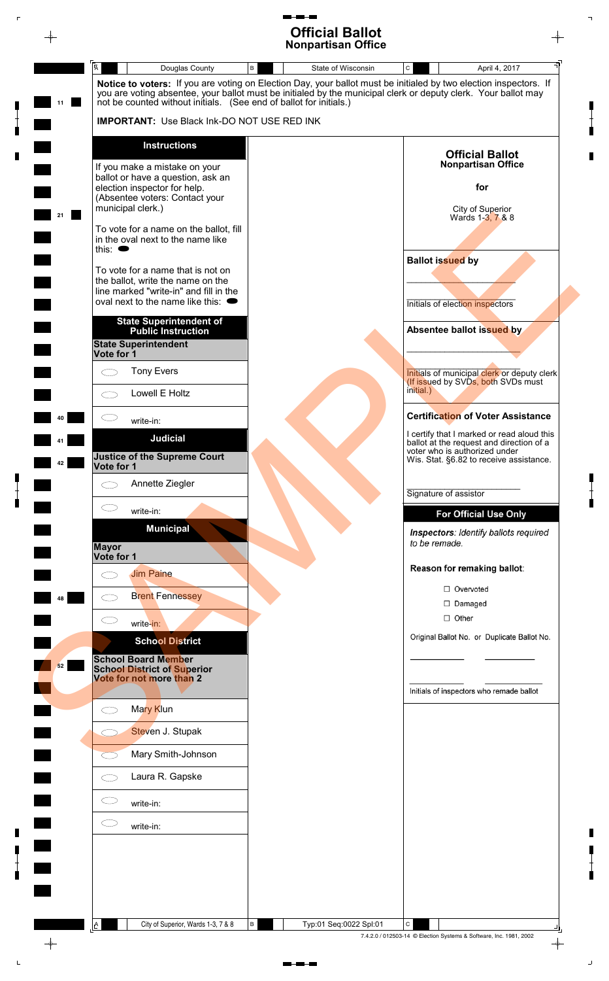# **Official Ballot Nonpartisan Office**

♦



City of Superior, Wards 1-3, 7 & 8 | B | Typ:01 Seq:0022 Spl:01

**40**

**41**

**42**

**48**

 $\rightarrow$ 

7.4.2.0 / 012503-14 © Election Systems & Software, Inc. 1981, 2002

 $\perp$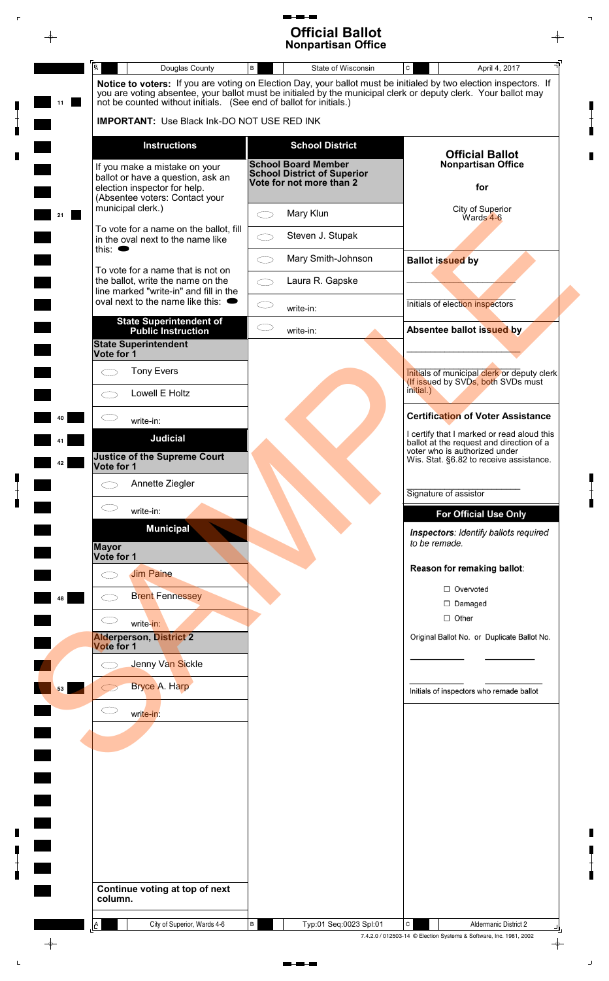#### $\blacksquare$ **Official Ballot Nonpartisan Office**

| 11 | Notice to voters: If you are voting on Election Day, your ballot must be initialed by two election inspectors. If<br>you are voting absentee, your ballot must be initialed by the municipal clerk or deputy clerk. Your ballot may<br>not be counted without initials. (See end of ballot for initials.) |     |                                                                                              |                                                                                        |  |  |  |
|----|-----------------------------------------------------------------------------------------------------------------------------------------------------------------------------------------------------------------------------------------------------------------------------------------------------------|-----|----------------------------------------------------------------------------------------------|----------------------------------------------------------------------------------------|--|--|--|
|    | <b>IMPORTANT:</b> Use Black Ink-DO NOT USE RED INK                                                                                                                                                                                                                                                        |     |                                                                                              |                                                                                        |  |  |  |
|    | <b>Instructions</b>                                                                                                                                                                                                                                                                                       |     | <b>School District</b>                                                                       |                                                                                        |  |  |  |
|    | If you make a mistake on your<br>ballot or have a question, ask an<br>election inspector for help.<br>(Absentee voters: Contact your                                                                                                                                                                      |     | <b>School Board Member</b><br><b>School District of Superior</b><br>Vote for not more than 2 | <b>Official Ballot</b><br><b>Nonpartisan Office</b><br>for                             |  |  |  |
| 21 | municipal clerk.)                                                                                                                                                                                                                                                                                         |     | Mary Klun                                                                                    | City of Superior<br>Wards 4-6                                                          |  |  |  |
|    | To vote for a name on the ballot, fill<br>in the oval next to the name like                                                                                                                                                                                                                               |     | Steven J. Stupak                                                                             |                                                                                        |  |  |  |
|    | this: $\bullet$<br>To vote for a name that is not on                                                                                                                                                                                                                                                      |     | Mary Smith-Johnson                                                                           | <b>Ballot issued by</b>                                                                |  |  |  |
|    | the ballot, write the name on the<br>line marked "write-in" and fill in the                                                                                                                                                                                                                               |     | Laura R. Gapske                                                                              |                                                                                        |  |  |  |
|    | oval next to the name like this: $\bullet$                                                                                                                                                                                                                                                                |     | write-in:                                                                                    | Initials of election inspectors                                                        |  |  |  |
|    | <b>State Superintendent of</b><br><b>Public Instruction</b><br><b>State Superintendent</b><br>Vote for 1                                                                                                                                                                                                  | C D | write-in:                                                                                    | Absentee ballot issued by                                                              |  |  |  |
|    | <b>Tony Evers</b>                                                                                                                                                                                                                                                                                         |     |                                                                                              | Initials of municipal clerk or deputy clerk                                            |  |  |  |
|    | Lowell E Holtz<br>C)                                                                                                                                                                                                                                                                                      |     |                                                                                              | (If issued by SVDs, both SVDs must<br>initial.)                                        |  |  |  |
|    | write-in:                                                                                                                                                                                                                                                                                                 |     |                                                                                              | <b>Certification of Voter Assistance</b>                                               |  |  |  |
|    | <b>Judicial</b>                                                                                                                                                                                                                                                                                           |     |                                                                                              | I certify that I marked or read aloud this<br>ballot at the request and direction of a |  |  |  |
| 42 | <b>Justice of the Supreme Court</b><br>Vote for 1                                                                                                                                                                                                                                                         |     |                                                                                              | voter who is authorized under<br>Wis. Stat. §6.82 to receive assistance.               |  |  |  |
|    | Annette Ziegler                                                                                                                                                                                                                                                                                           |     |                                                                                              | Signature of assistor                                                                  |  |  |  |
|    | write-in:                                                                                                                                                                                                                                                                                                 |     |                                                                                              | <b>For Official Use Only</b>                                                           |  |  |  |
|    | <b>Municipal</b><br><b>Mayor</b>                                                                                                                                                                                                                                                                          |     |                                                                                              | Inspectors: Identify ballots required<br>to be remade.                                 |  |  |  |
|    | Vote for 1<br><b>Jim Paine</b>                                                                                                                                                                                                                                                                            |     |                                                                                              | Reason for remaking ballot:                                                            |  |  |  |
|    | <b>Brent Fennessey</b>                                                                                                                                                                                                                                                                                    |     |                                                                                              | □ Overvoted                                                                            |  |  |  |
| 48 |                                                                                                                                                                                                                                                                                                           |     |                                                                                              | $\Box$ Damaged<br>$\Box$ Other                                                         |  |  |  |
|    | write-in:<br><b>Alderperson, District 2</b>                                                                                                                                                                                                                                                               |     |                                                                                              | Original Ballot No. or Duplicate Ballot No.                                            |  |  |  |
|    | Vote for 1<br>Jenny Van Sickle                                                                                                                                                                                                                                                                            |     |                                                                                              |                                                                                        |  |  |  |
|    | Bryce A. Harp                                                                                                                                                                                                                                                                                             |     |                                                                                              |                                                                                        |  |  |  |
| 53 |                                                                                                                                                                                                                                                                                                           |     |                                                                                              | Initials of inspectors who remade ballot                                               |  |  |  |
|    | تــــــا<br>write-in:                                                                                                                                                                                                                                                                                     |     |                                                                                              |                                                                                        |  |  |  |
|    |                                                                                                                                                                                                                                                                                                           |     |                                                                                              |                                                                                        |  |  |  |
|    |                                                                                                                                                                                                                                                                                                           |     |                                                                                              |                                                                                        |  |  |  |
|    |                                                                                                                                                                                                                                                                                                           |     |                                                                                              |                                                                                        |  |  |  |
|    |                                                                                                                                                                                                                                                                                                           |     |                                                                                              |                                                                                        |  |  |  |
|    |                                                                                                                                                                                                                                                                                                           |     |                                                                                              |                                                                                        |  |  |  |
|    |                                                                                                                                                                                                                                                                                                           |     |                                                                                              |                                                                                        |  |  |  |
|    |                                                                                                                                                                                                                                                                                                           |     |                                                                                              |                                                                                        |  |  |  |
|    | Continue voting at top of next<br>column.                                                                                                                                                                                                                                                                 |     |                                                                                              |                                                                                        |  |  |  |

 $\blacksquare$ 

 $\blacksquare$ 

 $\begin{bmatrix} 1 \\ 1 \\ 1 \end{bmatrix}$ 

 $\overline{\phantom{a}}$ 

 $\mathbb{E}$ 

 $\begin{array}{c} \blacksquare \\ \blacksquare \\ \blacksquare \end{array}$ 

 $\blacksquare$ 

 $\bar{\mathbb{C}}$ 

 $\begin{array}{c} \blacksquare \\ \blacksquare \\ \blacksquare \end{array}$ 

 $\mathbb{L}$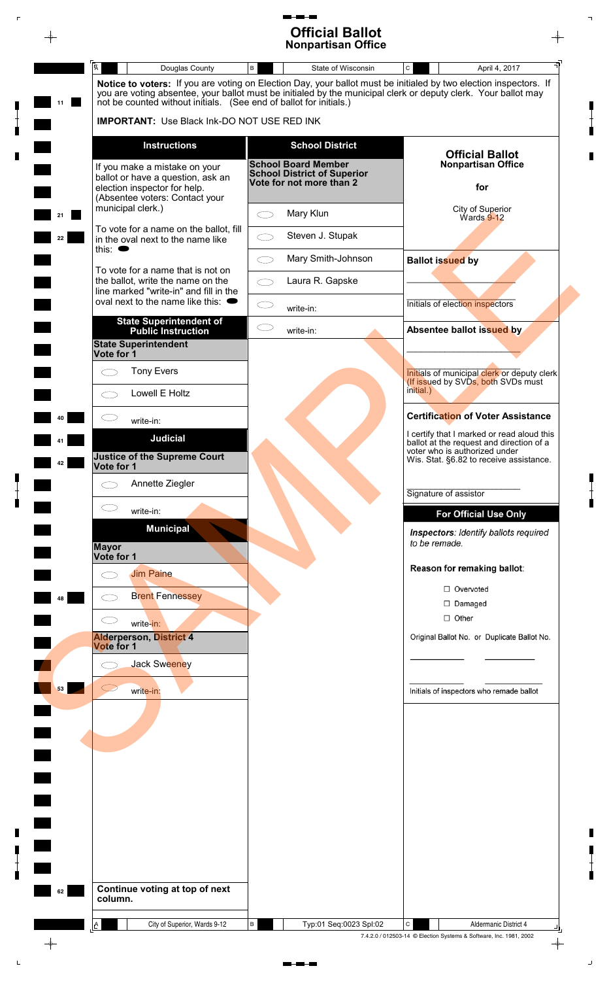## 5 - **13 Official Ballot Nonpartisan Office**

 $\bar{\mathbb{F}}$ 

 $\begin{bmatrix} 1 \\ 1 \\ 1 \end{bmatrix}$ 

 $\begin{bmatrix} 1 \\ 1 \\ 1 \end{bmatrix}$ 

 $\blacksquare$ 

 $\begin{array}{c} \n\blacksquare \\ \n\blacksquare \n\end{array}$ 

 $\mathsf{L}$ 

|    |                                                                                                                                                                |            | <b>Nonpartisan Office</b>                                        |               |                                                                                   |  |
|----|----------------------------------------------------------------------------------------------------------------------------------------------------------------|------------|------------------------------------------------------------------|---------------|-----------------------------------------------------------------------------------|--|
|    | $\overline{\mathsf{A}}$<br>Douglas County<br>Notice to voters: If you are voting on Election Day, your ballot must be initialed by two election inspectors. If | $\,$ B     | State of Wisconsin                                               | $\mathtt{C}$  | April 4, 2017                                                                     |  |
| 11 | you are voting absentee, your ballot must be initialed by the municipal clerk or deputy clerk. Your ballot may                                                 |            |                                                                  |               |                                                                                   |  |
|    | not be counted without initials. (See end of ballot for initials.)<br><b>IMPORTANT:</b> Use Black Ink-DO NOT USE RED INK                                       |            |                                                                  |               |                                                                                   |  |
|    |                                                                                                                                                                |            |                                                                  |               |                                                                                   |  |
|    | <b>Instructions</b>                                                                                                                                            |            | <b>School District</b>                                           |               | <b>Official Ballot</b>                                                            |  |
|    | If you make a mistake on your                                                                                                                                  |            | <b>School Board Member</b><br><b>School District of Superior</b> |               | <b>Nonpartisan Office</b>                                                         |  |
|    | ballot or have a question, ask an<br>election inspector for help.                                                                                              |            | Vote for not more than 2                                         |               | for                                                                               |  |
|    | (Absentee voters: Contact your<br>municipal clerk.)                                                                                                            |            |                                                                  |               | City of Superior                                                                  |  |
| 21 | To vote for a name on the ballot, fill                                                                                                                         | $\bigcirc$ | Mary Klun                                                        |               | $Wards$ 9-12                                                                      |  |
| 22 | in the oval next to the name like<br>this: $\bullet$                                                                                                           | ⌒          | Steven J. Stupak                                                 |               |                                                                                   |  |
|    | To vote for a name that is not on                                                                                                                              | $\bigcirc$ | Mary Smith-Johnson                                               |               | <b>Ballot issued by</b>                                                           |  |
|    | the ballot, write the name on the                                                                                                                              | $\bigcirc$ | Laura R. Gapske                                                  |               |                                                                                   |  |
|    | line marked "write-in" and fill in the<br>oval next to the name like this: $\bullet$                                                                           | CD         |                                                                  |               | Initials of election inspectors                                                   |  |
|    | <b>State Superintendent of</b>                                                                                                                                 |            | write-in:                                                        |               |                                                                                   |  |
|    | <b>Public Instruction</b><br><b>State Superintendent</b>                                                                                                       | $\subset$  | write-in:                                                        |               | Absentee ballot issued by                                                         |  |
|    | Vote for 1                                                                                                                                                     |            |                                                                  |               |                                                                                   |  |
|    | <b>Tony Evers</b><br>⌒                                                                                                                                         |            |                                                                  |               | Initials of municipal clerk or deputy clerk<br>(If issued by SVDs, both SVDs must |  |
|    | Lowell E Holtz<br>◯                                                                                                                                            |            |                                                                  | initial.)     |                                                                                   |  |
|    | write-in:                                                                                                                                                      |            |                                                                  |               | <b>Certification of Voter Assistance</b>                                          |  |
|    | <b>Judicial</b>                                                                                                                                                |            |                                                                  |               | I certify that I marked or read aloud this                                        |  |
|    | <b>Justice of the Supreme Court</b>                                                                                                                            |            |                                                                  |               | ballot at the request and direction of a<br>voter who is authorized under         |  |
| 42 | Vote for 1                                                                                                                                                     |            |                                                                  |               | Wis. Stat. §6.82 to receive assistance.                                           |  |
|    | Annette Ziegler<br>$\subset \,$                                                                                                                                |            |                                                                  |               | Signature of assistor                                                             |  |
|    | $\subset$<br>write-in:                                                                                                                                         |            |                                                                  |               | <b>For Official Use Only</b>                                                      |  |
|    | <b>Municipal</b>                                                                                                                                               |            |                                                                  |               | Inspectors: Identify ballots required                                             |  |
|    | <b>Mayor</b>                                                                                                                                                   |            |                                                                  | to be remade. |                                                                                   |  |
|    | Vote for 1                                                                                                                                                     |            |                                                                  |               | Reason for remaking ballot:                                                       |  |
|    | <b>Jim Paine</b><br>⌒                                                                                                                                          |            |                                                                  |               | □ Overvoted                                                                       |  |
| 48 | <b>Brent Fennessey</b>                                                                                                                                         |            |                                                                  |               | $\Box$ Damaged                                                                    |  |
|    | $\subset$<br>write-in:                                                                                                                                         |            |                                                                  |               | $\Box$ Other                                                                      |  |
|    | <b>Alderperson, District 4</b>                                                                                                                                 |            |                                                                  |               | Original Ballot No. or Duplicate Ballot No.                                       |  |
|    | Vote for 1<br><b>Jack Sweeney</b>                                                                                                                              |            |                                                                  |               |                                                                                   |  |
|    |                                                                                                                                                                |            |                                                                  |               |                                                                                   |  |
| 53 | write-in:                                                                                                                                                      |            |                                                                  |               | Initials of inspectors who remade ballot                                          |  |
|    |                                                                                                                                                                |            |                                                                  |               |                                                                                   |  |
|    |                                                                                                                                                                |            |                                                                  |               |                                                                                   |  |
|    |                                                                                                                                                                |            |                                                                  |               |                                                                                   |  |
|    |                                                                                                                                                                |            |                                                                  |               |                                                                                   |  |
|    |                                                                                                                                                                |            |                                                                  |               |                                                                                   |  |
|    |                                                                                                                                                                |            |                                                                  |               |                                                                                   |  |
|    |                                                                                                                                                                |            |                                                                  |               |                                                                                   |  |
|    |                                                                                                                                                                |            |                                                                  |               |                                                                                   |  |
|    |                                                                                                                                                                |            |                                                                  |               |                                                                                   |  |
|    |                                                                                                                                                                |            |                                                                  |               |                                                                                   |  |
| 62 | Continue voting at top of next<br>column.                                                                                                                      |            |                                                                  |               |                                                                                   |  |
|    |                                                                                                                                                                |            |                                                                  |               |                                                                                   |  |
|    | City of Superior, Wards 9-12<br>$\Delta$                                                                                                                       | В          | Typ:01 Seq:0023 Spl:02                                           | C             | Aldermanic District 4                                                             |  |

 $\begin{tabular}{ll} \multicolumn{2}{l}{{\color{blue}\textbf{m}+\textbf{m}-\textbf{m}}} \end{tabular}$ 

 $\begin{array}{c} \blacksquare \\ \blacksquare \\ \blacksquare \end{array}$ 

 $\overline{\mathbb{L}}$ 

 $\begin{array}{c} \blacksquare \\ \blacksquare \\ \blacksquare \end{array}$ 

 $\blacksquare$ 

 $\bar{\omega}$ 

 $\blacksquare$ 

 $\begin{bmatrix} 1 \\ 1 \\ 0 \end{bmatrix}$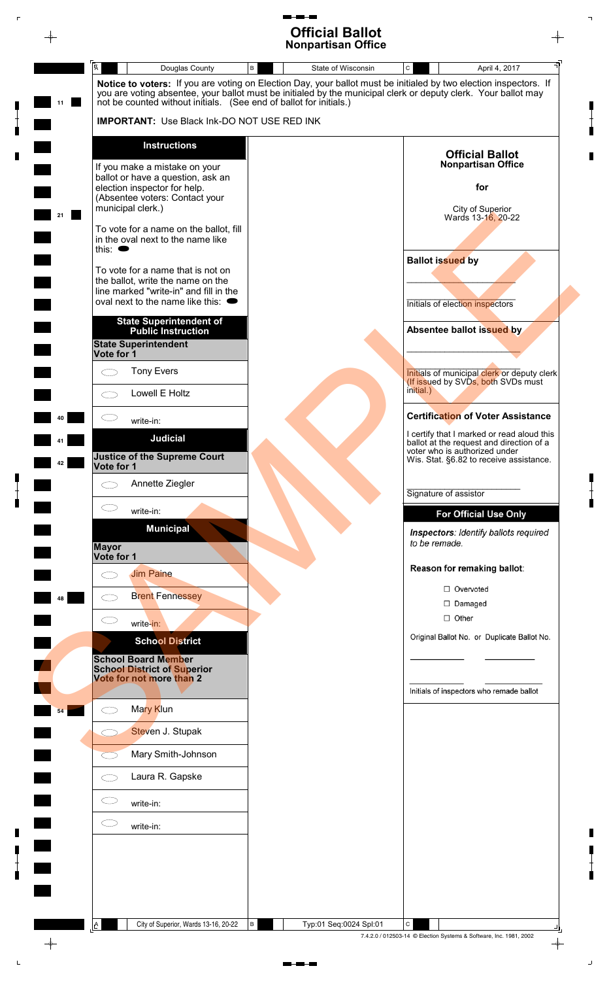# **Official Ballot Nonpartisan Office**

♦



 $\rightarrow$ 

7.4.2.0 / 012503-14 © Election Systems & Software, Inc. 1981, 2002

 $\perp$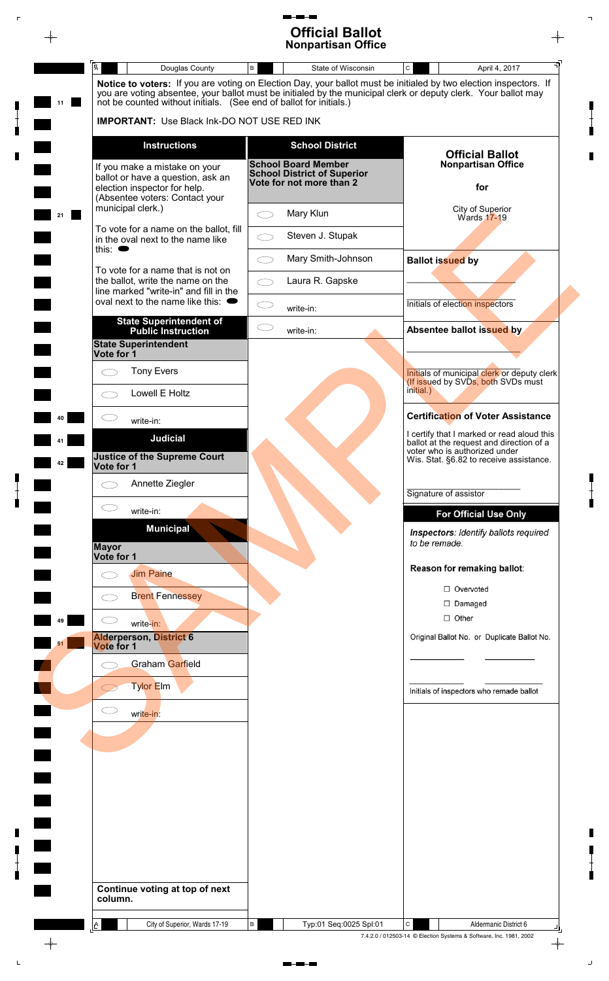#### $\blacksquare$ **Official Ballot Nonpartisan Office**

 $\bar{\bar{\mathbf{r}}}$ 

 $\begin{array}{c} \blacksquare \\ \blacksquare \\ \blacksquare \end{array}$ 

 $\begin{array}{c} \blacksquare \\ \blacksquare \\ \blacksquare \end{array}$ 

 $\mathsf{L}$ 

|    | $\overline{\mathsf{A}}$<br>Douglas County                                                                                | State of Wisconsin<br>B                                                                      | $\mathtt{C}$<br>April 4, 2017                                                                                                                                                                                                       |
|----|--------------------------------------------------------------------------------------------------------------------------|----------------------------------------------------------------------------------------------|-------------------------------------------------------------------------------------------------------------------------------------------------------------------------------------------------------------------------------------|
|    |                                                                                                                          |                                                                                              | Notice to voters: If you are voting on Election Day, your ballot must be initialed by two election inspectors. If<br>you are voting absentee, your ballot must be initialed by the municipal clerk or deputy clerk. Your ballot may |
| 11 | not be counted without initials. (See end of ballot for initials.)<br><b>IMPORTANT:</b> Use Black Ink-DO NOT USE RED INK |                                                                                              |                                                                                                                                                                                                                                     |
|    |                                                                                                                          |                                                                                              |                                                                                                                                                                                                                                     |
|    | <b>Instructions</b>                                                                                                      | <b>School District</b>                                                                       | <b>Official Ballot</b>                                                                                                                                                                                                              |
|    | If you make a mistake on your<br>ballot or have a question, ask an                                                       | <b>School Board Member</b><br><b>School District of Superior</b><br>Vote for not more than 2 | <b>Nonpartisan Office</b>                                                                                                                                                                                                           |
|    | election inspector for help.<br>(Absentee voters: Contact your                                                           |                                                                                              | for                                                                                                                                                                                                                                 |
| 21 | municipal clerk.)                                                                                                        | Mary Klun<br>$\bigcirc$                                                                      | City of Superior<br>Wards 17-19                                                                                                                                                                                                     |
|    | To vote for a name on the ballot, fill<br>in the oval next to the name like                                              | Steven J. Stupak<br>СD                                                                       |                                                                                                                                                                                                                                     |
|    | this: $\bullet$                                                                                                          | Mary Smith-Johnson<br>⌒                                                                      | <b>Ballot issued by</b>                                                                                                                                                                                                             |
|    | To vote for a name that is not on<br>the ballot, write the name on the                                                   | Laura R. Gapske<br>СD                                                                        |                                                                                                                                                                                                                                     |
|    | line marked "write-in" and fill in the<br>oval next to the name like this: $\bullet$                                     | СD<br>write-in:                                                                              | Initials of election inspectors                                                                                                                                                                                                     |
|    | <b>State Superintendent of</b><br><b>Public Instruction</b>                                                              | CD<br>write-in:                                                                              | Absentee ballot issued by                                                                                                                                                                                                           |
|    | <b>State Superintendent</b><br>Vote for 1                                                                                |                                                                                              |                                                                                                                                                                                                                                     |
|    | <b>Tony Evers</b><br>$\subset$                                                                                           |                                                                                              | Initials of municipal clerk or deputy clerk                                                                                                                                                                                         |
|    | Lowell E Holtz<br>CD                                                                                                     |                                                                                              | (If issued by SVDs, both SVDs must<br>initial.)                                                                                                                                                                                     |
|    |                                                                                                                          |                                                                                              | <b>Certification of Voter Assistance</b>                                                                                                                                                                                            |
|    | write-in:<br><b>Judicial</b>                                                                                             |                                                                                              | I certify that I marked or read aloud this                                                                                                                                                                                          |
|    | <b>Justice of the Supreme Court</b>                                                                                      |                                                                                              | ballot at the request and direction of a<br>voter who is authorized under<br>Wis. Stat. §6.82 to receive assistance.                                                                                                                |
| 42 | Vote for 1                                                                                                               |                                                                                              |                                                                                                                                                                                                                                     |
|    | Annette Ziegler<br>C. P                                                                                                  |                                                                                              | Signature of assistor                                                                                                                                                                                                               |
|    | $\bigcirc$<br>write-in:                                                                                                  |                                                                                              | <b>For Official Use Only</b>                                                                                                                                                                                                        |
|    | <b>Municipal</b>                                                                                                         |                                                                                              | Inspectors: Identify ballots required<br>to be remade.                                                                                                                                                                              |
|    | <b>Mayor</b><br>Vote for 1                                                                                               |                                                                                              |                                                                                                                                                                                                                                     |
|    | <b>Jim Paine</b><br>r n                                                                                                  |                                                                                              | Reason for remaking ballot:                                                                                                                                                                                                         |
|    | <b>Brent Fennessey</b>                                                                                                   |                                                                                              | □ Overvoted<br>$\Box$ Damaged                                                                                                                                                                                                       |
| 49 | write-in:                                                                                                                |                                                                                              | $\Box$ Other                                                                                                                                                                                                                        |
| 51 | <b>Alderperson, District 6</b><br><b>Vote for 1</b>                                                                      |                                                                                              | Original Ballot No. or Duplicate Ballot No.                                                                                                                                                                                         |
|    | <b>Graham Garfield</b>                                                                                                   |                                                                                              |                                                                                                                                                                                                                                     |
|    | <b>Tylor Elm</b>                                                                                                         |                                                                                              | Initials of inspectors who remade ballot                                                                                                                                                                                            |
|    | $\subset$<br>write-in:                                                                                                   |                                                                                              |                                                                                                                                                                                                                                     |
|    |                                                                                                                          |                                                                                              |                                                                                                                                                                                                                                     |
|    |                                                                                                                          |                                                                                              |                                                                                                                                                                                                                                     |
|    |                                                                                                                          |                                                                                              |                                                                                                                                                                                                                                     |
|    |                                                                                                                          |                                                                                              |                                                                                                                                                                                                                                     |
|    |                                                                                                                          |                                                                                              |                                                                                                                                                                                                                                     |
|    |                                                                                                                          |                                                                                              |                                                                                                                                                                                                                                     |
|    |                                                                                                                          |                                                                                              |                                                                                                                                                                                                                                     |
|    |                                                                                                                          |                                                                                              |                                                                                                                                                                                                                                     |
|    | Continue voting at top of next<br>column.                                                                                |                                                                                              |                                                                                                                                                                                                                                     |
|    |                                                                                                                          | Typ:01 Seq:0025 Spl:01                                                                       |                                                                                                                                                                                                                                     |

 $\blacksquare$ 

 $\lnot$ 

 $\begin{array}{c} \blacksquare \\ \blacksquare \\ \blacksquare \end{array}$ 

 $\blacksquare$ 

 $\Box$ 

 $\blacksquare$ 

 $\begin{bmatrix} 1 \\ 1 \\ 1 \end{bmatrix}$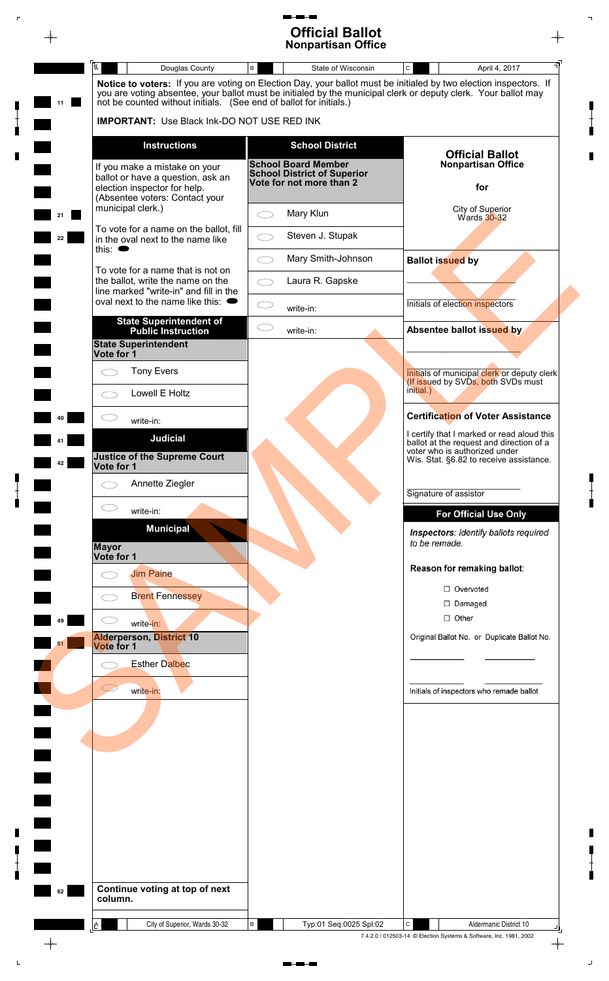## 5 - **13 Official Ballot Nonpartisan Office**

 $\bar{\mathbb{F}}$ 

 $\begin{bmatrix} 1 \\ 1 \\ 1 \end{bmatrix}$ 

 $\blacksquare$ 

 $\begin{bmatrix} 1 \\ 1 \\ 1 \end{bmatrix}$ 

 $\blacksquare$ 

 $\begin{array}{c} \blacksquare \\ \blacksquare \\ \blacksquare \end{array}$ 

 $\mathsf{L}$ 

|    |                                                                                                                                                                                      |            | <b>Nonpartisan Office</b>                                      |                         |                                                                                        |  |
|----|--------------------------------------------------------------------------------------------------------------------------------------------------------------------------------------|------------|----------------------------------------------------------------|-------------------------|----------------------------------------------------------------------------------------|--|
|    | $\overline{\mathsf{A}}$<br>Douglas County<br>Notice to voters: If you are voting on Election Day, your ballot must be initialed by two election inspectors. If                       | $\,$ B     | State of Wisconsin                                             | $\mathtt{C}$            | April 4, 2017                                                                          |  |
| 11 | you are voting absentee, your ballot must be initialed by the municipal clerk or deputy clerk. Your ballot may<br>not be counted without initials. (See end of ballot for initials.) |            |                                                                |                         |                                                                                        |  |
|    | <b>IMPORTANT:</b> Use Black Ink-DO NOT USE RED INK                                                                                                                                   |            |                                                                |                         |                                                                                        |  |
|    | <b>Instructions</b>                                                                                                                                                                  |            | <b>School District</b>                                         |                         | <b>Official Ballot</b>                                                                 |  |
|    | If you make a mistake on your                                                                                                                                                        |            | <b>School Board Member</b>                                     |                         | <b>Nonpartisan Office</b>                                                              |  |
|    | ballot or have a question, ask an<br>election inspector for help.                                                                                                                    |            | <b>School District of Superior</b><br>Vote for not more than 2 |                         | for                                                                                    |  |
|    | (Absentee voters: Contact your<br>municipal clerk.)                                                                                                                                  |            |                                                                |                         | City of Superior                                                                       |  |
| 21 | To vote for a name on the ballot, fill                                                                                                                                               | $\bigcirc$ | Mary Klun                                                      |                         | Wards 30-32                                                                            |  |
| 22 | in the oval next to the name like<br>this: $\bullet$                                                                                                                                 | ⌒          | Steven J. Stupak                                               |                         |                                                                                        |  |
|    | To vote for a name that is not on                                                                                                                                                    | $\bigcirc$ | Mary Smith-Johnson                                             | <b>Ballot issued by</b> |                                                                                        |  |
|    | the ballot, write the name on the<br>line marked "write-in" and fill in the                                                                                                          | $\bigcirc$ | Laura R. Gapske                                                |                         |                                                                                        |  |
|    | oval next to the name like this: $\bullet$                                                                                                                                           | CD         | write-in:                                                      |                         | Initials of election inspectors                                                        |  |
|    | <b>State Superintendent of</b><br><b>Public Instruction</b>                                                                                                                          | $\subset$  | write-in:                                                      |                         | Absentee ballot issued by                                                              |  |
|    | <b>State Superintendent</b><br>Vote for 1                                                                                                                                            |            |                                                                |                         |                                                                                        |  |
|    | <b>Tony Evers</b><br>⌒                                                                                                                                                               |            |                                                                |                         | Initials of municipal clerk or deputy clerk                                            |  |
|    | Lowell E Holtz<br>◯                                                                                                                                                                  |            |                                                                | initial.)               | (If issued by SVDs, both SVDs must                                                     |  |
|    | write-in:                                                                                                                                                                            |            |                                                                |                         | <b>Certification of Voter Assistance</b>                                               |  |
|    | <b>Judicial</b>                                                                                                                                                                      |            |                                                                |                         | I certify that I marked or read aloud this<br>ballot at the request and direction of a |  |
| 42 | <b>Justice of the Supreme Court</b><br>Vote for 1                                                                                                                                    |            |                                                                |                         | voter who is authorized under<br>Wis. Stat. §6.82 to receive assistance.               |  |
|    | Annette Ziegler<br>$\subset \,$                                                                                                                                                      |            |                                                                |                         |                                                                                        |  |
|    | $\subset$<br>write-in:                                                                                                                                                               |            |                                                                | Signature of assistor   |                                                                                        |  |
|    | <b>Municipal</b>                                                                                                                                                                     |            |                                                                |                         | <b>For Official Use Only</b><br>Inspectors: Identify ballots required                  |  |
|    | <b>Mayor</b><br>Vote for 1                                                                                                                                                           |            |                                                                | to be remade.           |                                                                                        |  |
|    | <b>Jim Paine</b><br>$\subset$ .                                                                                                                                                      |            |                                                                |                         | Reason for remaking ballot:                                                            |  |
|    | <b>Brent Fennessey</b><br>$\subset$ .                                                                                                                                                |            |                                                                |                         | □ Overvoted                                                                            |  |
|    |                                                                                                                                                                                      |            |                                                                |                         | $\Box$ Damaged<br>$\Box$ Other                                                         |  |
| 49 | write-in:<br><b>Alderperson, District 10</b>                                                                                                                                         |            |                                                                |                         | Original Ballot No. or Duplicate Ballot No.                                            |  |
| 51 | Vote for 1                                                                                                                                                                           |            |                                                                |                         |                                                                                        |  |
|    | <b>Esther Dalbec</b>                                                                                                                                                                 |            |                                                                |                         |                                                                                        |  |
|    | $\subset$<br>write-in:                                                                                                                                                               |            |                                                                |                         | Initials of inspectors who remade ballot                                               |  |
|    |                                                                                                                                                                                      |            |                                                                |                         |                                                                                        |  |
|    |                                                                                                                                                                                      |            |                                                                |                         |                                                                                        |  |
|    |                                                                                                                                                                                      |            |                                                                |                         |                                                                                        |  |
|    |                                                                                                                                                                                      |            |                                                                |                         |                                                                                        |  |
|    |                                                                                                                                                                                      |            |                                                                |                         |                                                                                        |  |
|    |                                                                                                                                                                                      |            |                                                                |                         |                                                                                        |  |
|    |                                                                                                                                                                                      |            |                                                                |                         |                                                                                        |  |
|    |                                                                                                                                                                                      |            |                                                                |                         |                                                                                        |  |
|    |                                                                                                                                                                                      |            |                                                                |                         |                                                                                        |  |
|    |                                                                                                                                                                                      |            |                                                                |                         |                                                                                        |  |
| 62 | Continue voting at top of next                                                                                                                                                       |            |                                                                |                         |                                                                                        |  |
|    | column.                                                                                                                                                                              |            |                                                                |                         |                                                                                        |  |
|    | City of Superior, Wards 30-32<br>$\Delta$                                                                                                                                            | В          | Typ:01 Seq:0025 Spl:02                                         | C                       | Aldermanic District 10                                                                 |  |

 $\mathbf{m}\cdot\mathbf{m}\cdot\mathbf{m}$ 

 $\begin{array}{c} \blacksquare \\ \blacksquare \end{array}$ 

 $\overline{\mathbb{L}}$ 

 $\blacksquare$ 

 $\bar{\omega}$ 

 $\blacksquare$ 

 $\begin{bmatrix} 1 \\ 1 \\ 0 \end{bmatrix}$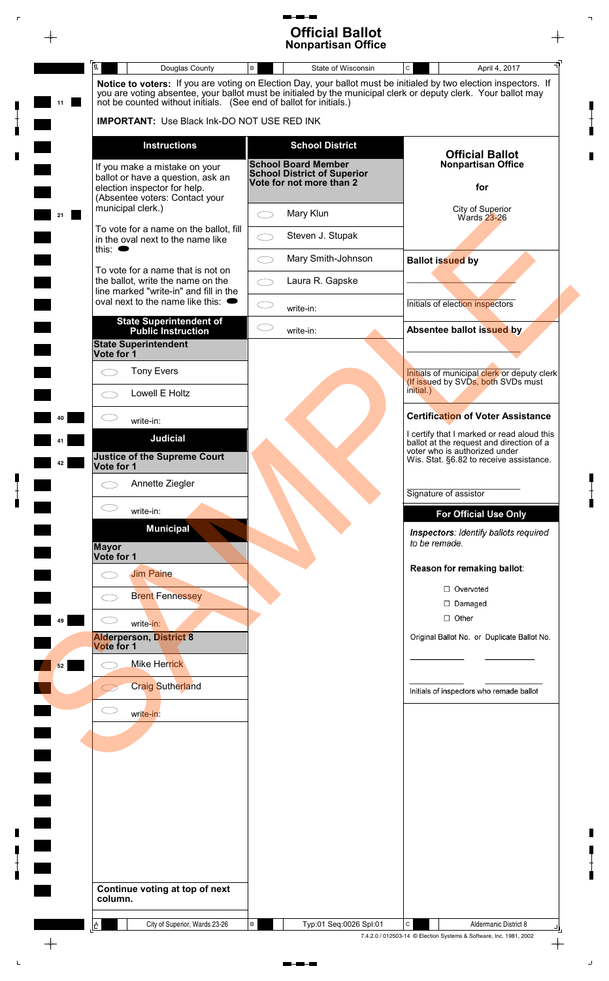## 5 - **13 Official Ballot Nonpartisan Office**

 $\overline{\mathbb{L}}$ 

 $\begin{bmatrix} 1 \\ 1 \\ 1 \end{bmatrix}$ 

 $\blacksquare$ 

 $\begin{array}{c} \blacksquare \\ \blacksquare \\ \blacksquare \end{array}$ 

 $\blacksquare$ 

 $\begin{bmatrix} 1 \\ 1 \\ 0 \end{bmatrix}$ 

 $\bar{\omega}$ 

 $\bar{\mathbb{F}}$ 

 $\begin{bmatrix} 1 \\ 1 \\ 1 \end{bmatrix}$ 

 $\blacksquare$ 

 $\begin{bmatrix} 1 \\ 1 \\ 0 \end{bmatrix}$ 

 $\mathbb{L}$ 

|    |                                                                                                                  | <b>Official Ballot</b><br><b>Nonpartisan Office</b>                                          |                                                                                                                                                                                                                                     |
|----|------------------------------------------------------------------------------------------------------------------|----------------------------------------------------------------------------------------------|-------------------------------------------------------------------------------------------------------------------------------------------------------------------------------------------------------------------------------------|
|    | $\overline{\mathsf{A}}$<br>Douglas County                                                                        | State of Wisconsin<br>B                                                                      | $\mathtt{C}$<br>April 4, 2017                                                                                                                                                                                                       |
| 11 | not be counted without initials. (See end of ballot for initials.)                                               |                                                                                              | Notice to voters: If you are voting on Election Day, your ballot must be initialed by two election inspectors. If<br>you are voting absentee, your ballot must be initialed by the municipal clerk or deputy clerk. Your ballot may |
|    | <b>IMPORTANT:</b> Use Black Ink-DO NOT USE RED INK                                                               |                                                                                              |                                                                                                                                                                                                                                     |
|    | <b>Instructions</b>                                                                                              | <b>School District</b>                                                                       | <b>Official Ballot</b>                                                                                                                                                                                                              |
|    | If you make a mistake on your<br>ballot or have a question, ask an<br>election inspector for help.               | <b>School Board Member</b><br><b>School District of Superior</b><br>Vote for not more than 2 | <b>Nonpartisan Office</b><br>for                                                                                                                                                                                                    |
| 21 | (Absentee voters: Contact your<br>municipal clerk.)                                                              | Mary Klun<br>$\bigcirc$                                                                      | City of Superior<br>Wards 23-26                                                                                                                                                                                                     |
|    | To vote for a name on the ballot, fill<br>in the oval next to the name like<br>this: $\bullet$                   | Steven J. Stupak<br>СD                                                                       |                                                                                                                                                                                                                                     |
|    |                                                                                                                  | Mary Smith-Johnson<br>⌒                                                                      | <b>Ballot issued by</b>                                                                                                                                                                                                             |
|    | To vote for a name that is not on<br>the ballot, write the name on the<br>line marked "write-in" and fill in the | Laura R. Gapske<br>СD                                                                        |                                                                                                                                                                                                                                     |
|    | oval next to the name like this: $\bullet$                                                                       | СD<br>write-in:                                                                              | Initials of election inspectors                                                                                                                                                                                                     |
|    | <b>State Superintendent of</b><br><b>Public Instruction</b>                                                      | CD<br>write-in:                                                                              | Absentee ballot issued by                                                                                                                                                                                                           |
|    | <b>State Superintendent</b><br>Vote for 1                                                                        |                                                                                              |                                                                                                                                                                                                                                     |
|    | <b>Tony Evers</b><br>$\subset$                                                                                   |                                                                                              | Initials of municipal clerk or deputy clerk<br>(If issued by SVDs, both SVDs must                                                                                                                                                   |
|    | Lowell E Holtz<br>CD                                                                                             |                                                                                              | initial.)                                                                                                                                                                                                                           |
|    | write-in:                                                                                                        |                                                                                              | <b>Certification of Voter Assistance</b><br>I certify that I marked or read aloud this                                                                                                                                              |
| 42 | <b>Judicial</b><br><b>Justice of the Supreme Court</b><br>Vote for 1                                             |                                                                                              | ballot at the request and direction of a<br>voter who is authorized under<br>Wis. Stat. §6.82 to receive assistance.                                                                                                                |
|    | Annette Ziegler<br>C. P                                                                                          |                                                                                              |                                                                                                                                                                                                                                     |
|    | $\bigcirc$<br>write-in:                                                                                          |                                                                                              | Signature of assistor<br><b>For Official Use Only</b>                                                                                                                                                                               |
|    | <b>Municipal</b><br><b>Mayor</b>                                                                                 |                                                                                              | Inspectors: Identify ballots required<br>to be remade.                                                                                                                                                                              |
|    | Vote for 1<br><b>Jim Paine</b>                                                                                   |                                                                                              | Reason for remaking ballot:                                                                                                                                                                                                         |
|    | r n                                                                                                              |                                                                                              | □ Overvoted                                                                                                                                                                                                                         |
|    | <b>Brent Fennessey</b>                                                                                           |                                                                                              | $\Box$ Damaged                                                                                                                                                                                                                      |
| 49 | write-in:<br><b>Alderperson, District 8</b>                                                                      |                                                                                              | $\Box$ Other<br>Original Ballot No. or Duplicate Ballot No.                                                                                                                                                                         |
|    | Vote for 1                                                                                                       |                                                                                              |                                                                                                                                                                                                                                     |
| 52 | <b>Mike Herrick</b>                                                                                              |                                                                                              |                                                                                                                                                                                                                                     |
|    | <b>Craig Sutherland</b>                                                                                          |                                                                                              | Initials of inspectors who remade ballot                                                                                                                                                                                            |
|    | $\subset$<br>write-in:                                                                                           |                                                                                              |                                                                                                                                                                                                                                     |
|    |                                                                                                                  |                                                                                              |                                                                                                                                                                                                                                     |
|    |                                                                                                                  |                                                                                              |                                                                                                                                                                                                                                     |
|    |                                                                                                                  |                                                                                              |                                                                                                                                                                                                                                     |
|    |                                                                                                                  |                                                                                              |                                                                                                                                                                                                                                     |
|    |                                                                                                                  |                                                                                              |                                                                                                                                                                                                                                     |
|    |                                                                                                                  |                                                                                              |                                                                                                                                                                                                                                     |
|    |                                                                                                                  |                                                                                              |                                                                                                                                                                                                                                     |
|    | Continue voting at top of next<br>column.                                                                        |                                                                                              |                                                                                                                                                                                                                                     |
|    | City of Superior, Wards 23-26<br>Ŀ                                                                               | Typ:01 Seq:0026 Spl:01<br>В                                                                  | $\mathbf{C}$<br>Aldermanic District 8                                                                                                                                                                                               |
|    |                                                                                                                  |                                                                                              | 7.4.2.0 / 012503-14 © Election Systems & Software, Inc. 1981, 2002                                                                                                                                                                  |

 $\begin{tabular}{ll} \multicolumn{2}{l}{{\color{blue}\textbf{m}+\textbf{m}-\textbf{m}}} \end{tabular}$